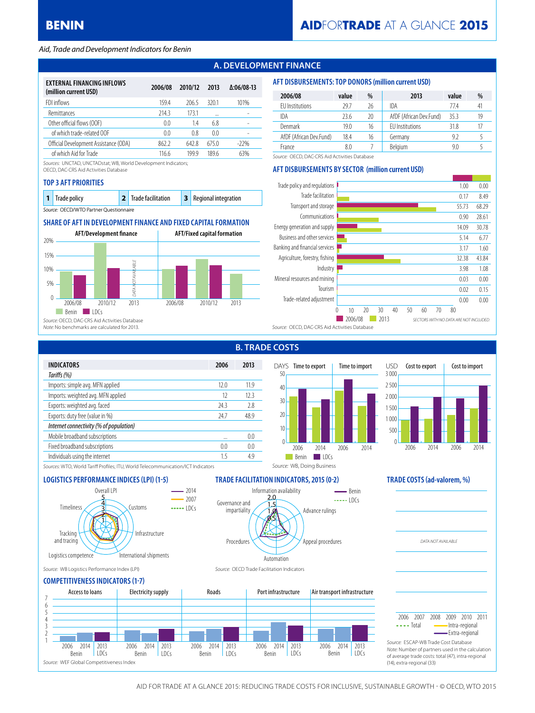#### *Aid, Trade and Development Indicators for Benin*

### **A. DEVELOPMENT FINANCE**

| <b>EXTERNAL FINANCING INFLOWS</b><br>(million current USD) | 2006/08 | 2010/12 | 2013           | $\Delta:06/08-13$ |
|------------------------------------------------------------|---------|---------|----------------|-------------------|
| FDI inflows                                                | 159.4   | 2065    | 3201           | 101%              |
| Remittances                                                | 214.3   | 1731    |                |                   |
| Other official flows (OOF)                                 | 0.0     | 14      | 68             |                   |
| of which trade-related OOF                                 | 0.0     | 0.8     | 0 <sub>0</sub> |                   |
| Official Development Assistance (ODA)                      | 862.2   | 642.8   | 675.0          | $-22\%$           |
| of which Aid for Trade                                     | 116.6   | 1999    | 1896           | 63%               |

*Sources:* UNCTAD, UNCTADstat; WB, World Development Indicators;

OECD, DAC-CRS Aid Activities Database

#### **TOP 3 AFT PRIORITIES**

| <b>1</b> Trade policy                  | 2 Trade facilitation | <b>3</b> Regional integration |
|----------------------------------------|----------------------|-------------------------------|
| Source: OECD/WTO Partner Questionnaire |                      |                               |

### **SHARE OF AFT IN DEVELOPMENT FINANCE AND FIXED CAPITAL FORMATION**



### **AFT DISBURSEMENTS: TOP DONORS (million current USD)**

| 2006/08                 | value | %  | 2013                    | value | %  |
|-------------------------|-------|----|-------------------------|-------|----|
| <b>FU</b> Institutions  | 29.7  | 26 | IDA                     | 774   | 41 |
| IDA                     | 23.6  | 20 | AfDF (African Dev.Fund) | 35.3  | 19 |
| Denmark                 | 19.0  | 16 | <b>FU</b> Institutions  | 31.8  | 17 |
| AfDF (African Dev.Fund) | 18.4  | 16 | Germany                 | 9.2   |    |
| France                  | 8.0   |    | <b>Belaium</b>          | 9.0   |    |

*Source:* OECD, DAC-CRS Aid Activities Database

### **AFT DISBURSEMENTS BY SECTOR (million current USD)**



|                                         |      | ---- |
|-----------------------------------------|------|------|
| <b>INDICATORS</b>                       | 2006 | 2013 |
| Tariffs (%)                             |      |      |
| Imports: simple avg. MFN applied        | 120  | 119  |
| Imports: weighted avg. MFN applied      | 12   | 123  |
| Exports: weighted avg. faced            | 24.3 | 2.8  |
| Exports: duty free (value in %)         | 24.7 | 48.9 |
| Internet connectivity (% of population) |      |      |
| Mobile broadband subscriptions          |      | 0.0  |
| Fixed broadband subscriptions           | 0.0  | 0.0  |
| Individuals using the internet          | 15   | 4.9  |
|                                         |      |      |

# **B. TRADE COSTS**

Information availability

0.5 1.0 1.5 2.0

Automation

Procedures

Governance and impartiality



Advance rulings

*Source:* WB, Doing Business

 $\frac{1}{2}$  $B$ enin

Appeal procedures



*DATA NOT AVAILABLE*

*Sources:* WTO, World Tariff Profiles; ITU, World Telecommunication/ICT Indicators

### **LOGISTICS PERFORMANCE INDICES (LPI) (1-5) TRADE FACILITATION INDICATORS, 2015 (0-2) TRADE COSTS (ad-valorem, %)**



*Source:* WB Logistics Performance Index (LPI) *Source:* OECD Trade Facilitation Indicators

#### **COMPETITIVENESS INDICATORS (1-7)**